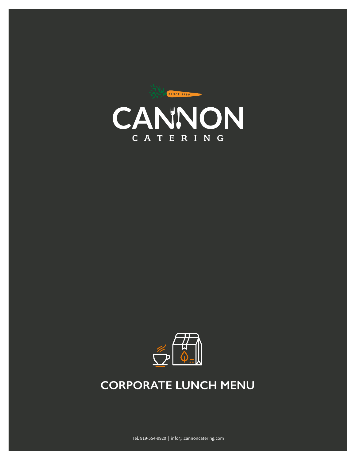



# **CORPORATE CORPORATE LUNCH MENU**

Tel. 919-554-9920 | info@.cannoncatering.com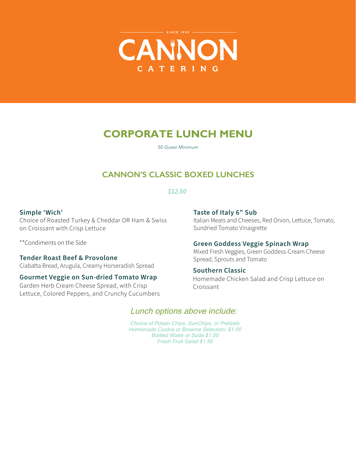

# **CORPORATE LUNCH MENU**

*50 Guest Minimum*

## **CANNON'S CLASSIC BOXED LUNCHES**

### *\$12.50*

#### **Simple 'Wich'**

Choice of Roasted Turkey & Cheddar OR Ham & Swiss on Croissant with Crisp Lettuce

\*\*Condiments on the Side

## **Tender Roast Beef & Provolone**

Ciabatta Bread, Arugula, Creamy Horseradish Spread

## **Gourmet Veggie on Sun-dried Tomato Wrap**

Garden Herb Cream Cheese Spread, with Crisp Lettuce, Colored Peppers, and Crunchy Cucumbers

#### **Taste of Italy 6" Sub**

Italian Meats and Cheeses, Red Onion, Lettuce, Tomato, Sundried Tomato Vinaigrette

#### **Green Goddess Veggie Spinach Wrap**

Mixed Fresh Veggies, Green Goddess-Cream Cheese Spread, Sprouts and Tomato

#### **Southern Classic**

Homemade Chicken Salad and Crisp Lettuce on Croissant

## Lunch options above include:

Choice of Potato Chips, SunChips, or Pretzels Homemade Cookie or Brownie Selection- \$1.00 Bottled Water or Soda \$1.50 Fresh Fruit Salad \$1.50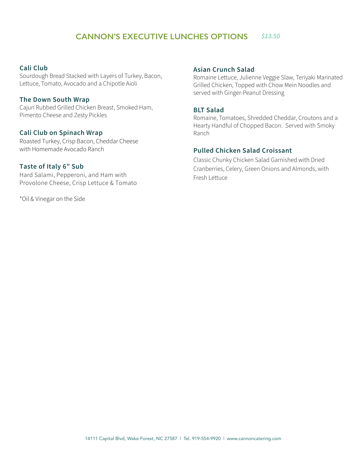## **CANNON'S EXECUTIVE LUNCHES OPTIONS** *\$13.50*

#### **Cali Club**

Sourdough Bread Stacked with Layers of Turkey, Bacon, Lettuce, Tomato, Avocado and a Chipotle Aioli

#### **The Down South Wrap**

Cajun Rubbed Grilled Chicken Breast, Smoked Ham, Pimento Cheese and Zesty Pickles

#### **Cali Clu on Spinach Wrap**

Roasted Turkey, Crisp Bacon, Cheddar Cheese with Homemade Avocado Ranch

#### Taste  $o$ /-tal.,  $+Su^*$ Hard Salami, Pepperoni, and Ham with

Provolone Cheese, Crisp Lettuce & Tomato

\*Oil & Vinegar on the Side

#### **Asian Crunch Salad**

Romaine Lettuce, Julienne Veggie Slaw, Teriyaki Marinated Grilled Chicken, Topped with Chow Mein Noodles and served with Ginger-Peanut Dressing

#### **BLT Salad**

Romaine, Tomatoes, Shredded Cheddar, Croutons and a Hearty Handful of Chopped Bacon. Served with Smoky Ranch

#### **Pulled Chicken Salad Croissant**

 Cranberries, Celery, Green Onions and Almonds, with Classic Chunky Chicken Salad Garnished with Dried Fresh Lettuce